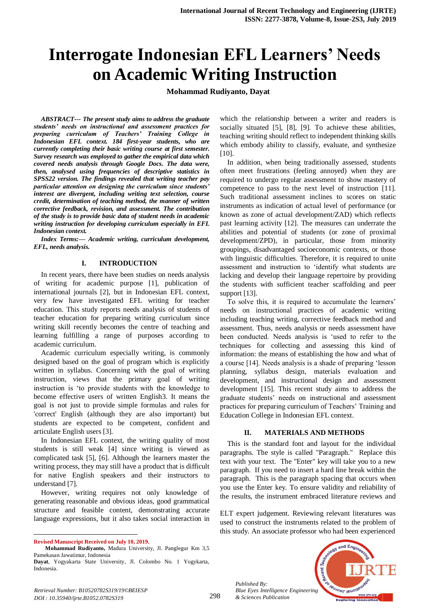# **Interrogate Indonesian EFL Learners' Needs on Academic Writing Instruction**

**Mohammad Rudiyanto, Dayat**

*ABSTRACT--- The present study aims to address the graduate students' needs on instructional and assessment practices for preparing curriculum of Teachers' Training College in Indonesian EFL context. 184 first-year students, who are currently completing their basic writing course at first semester. Survey research was employed to gather the empirical data which covered needs analysis through Google Docs. The data were, then, analysed using frequencies of descriptive statistics in SPSS22 version. The findings revealed that writing teacher pay particular attention on designing the curriculum since students' interest are divergent, including writing text selection, course credit, determination of teaching method, the manner of written corrective feedback, revision, and assessment. The contribution of the study is to provide basic data of student needs in academic writing instruction for developing curriculum especially in EFL Indonesian context.*

*Index Terms:— Academic writing, curriculum development, EFL, needs analysis.*

#### **I. INTRODUCTION**

In recent years, there have been studies on needs analysis of writing for academic purpose [1], publication of international journals [2], but in Indonesian EFL context, very few have investigated EFL writing for teacher education. This study reports needs analysis of students of teacher education for preparing writing curriculum since writing skill recently becomes the centre of teaching and learning fulfilling a range of purposes according to academic curriculum.

Academic curriculum especially writing, is commonly designed based on the goal of program which is explicitly written in syllabus. Concerning with the goal of writing instruction, views that the primary goal of writing instruction is 'to provide students with the knowledge to become effective users of written English3. It means the goal is not just to provide simple formulas and rules for 'correct' English (although they are also important) but students are expected to be competent, confident and articulate English users [3].

In Indonesian EFL context, the writing quality of most students is still weak [4] since writing is viewed as complicated task [5], [6]. Although the learners master the writing process, they may still have a product that is difficult for native English speakers and their instructors to understand [7].

However, writing requires not only knowledge of generating reasonable and obvious ideas, good grammatical structure and feasible content, demonstrating accurate language expressions, but it also takes social interaction in

 $\ddot{\phantom{a}}$ 

which the relationship between a writer and readers is socially situated [5], [8], [9]. To achieve these abilities, teaching writing should reflect to independent thinking skills which embody ability to classify, evaluate, and synthesize [10].

In addition, when being traditionally assessed, students often meet frustrations (feeling annoyed) when they are required to undergo regular assessment to show mastery of competence to pass to the next level of instruction [11]. Such traditional assessment inclines to scores on static instruments as indication of actual level of performance (or known as zone of actual development/ZAD) which reflects past learning activity [12]. The measures can underrate the abilities and potential of students (or zone of proximal development/ZPD), in particular, those from minority groupings, disadvantaged socioeconomic contexts, or those with linguistic difficulties. Therefore, it is required to unite assessment and instruction to 'identify what students are lacking and develop their language repertoire by providing the students with sufficient teacher scaffolding and peer support [13].

To solve this, it is required to accumulate the learners' needs on instructional practices of academic writing including teaching writing, corrective feedback method and assessment. Thus, needs analysis or needs assessment have been conducted. Needs analysis is 'used to refer to the techniques for collecting and assessing this kind of information: the means of establishing the how and what of a course [14]. Needs analysis is a shade of preparing 'lesson planning, syllabus design, materials evaluation and development, and instructional design and assessment development [15]. This recent study aims to address the graduate students' needs on instructional and assessment practices for preparing curriculum of Teachers' Training and Education College in Indonesian EFL context.

#### **II. MATERIALS AND METHODS**

This is the standard font and layout for the individual paragraphs. The style is called "Paragraph." Replace this text with your text. The "Enter" key will take you to a new paragraph. If you need to insert a hard line break within the paragraph. This is the paragraph spacing that occurs when you use the Enter key. To ensure validity and reliability of the results, the instrument embraced literature reviews and

ELT expert judgement. Reviewing relevant literatures was used to construct the instruments related to the problem of this study. An associate professor who had been experienced



*Retrieval Number: B10520782S319/19©BEIESP DOI : 10.35940/ijrte.B1052.0782S319*

*Published By:*

**Revised Manuscript Received on July 10, 2019.**

**Mohammad Rudiyanto,** Madura University, Jl. Panglegur Km 3,5 Pamekasan Jawatimur, Indonesia

**Dayat**, Yogyakarta State University, Jl. Colombo No. 1 Yogykarta, Indonesia.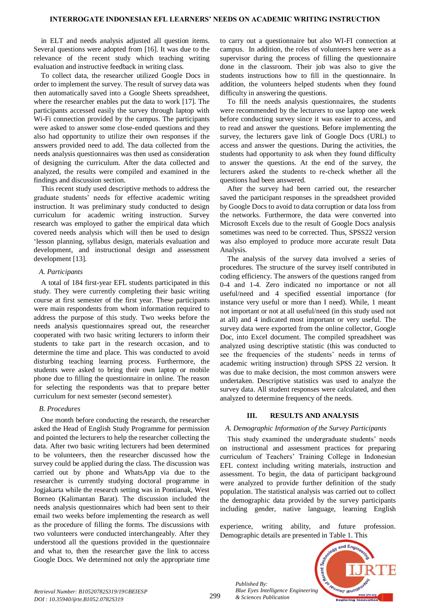in ELT and needs analysis adjusted all question items. Several questions were adopted from [16]. It was due to the relevance of the recent study which teaching writing evaluation and instructive feedback in writing class.

To collect data, the researcher utilized Google Docs in order to implement the survey. The result of survey data was then automatically saved into a Google Sheets spreadsheet, where the researcher enables put the data to work [17]. The participants accessed easily the survey through laptop with Wi-Fi connection provided by the campus. The participants were asked to answer some close-ended questions and they also had opportunity to utilize their own responses if the answers provided need to add. The data collected from the needs analysis questionnaires was then used as consideration of designing the curriculum. After the data collected and analyzed, the results were compiled and examined in the findings and discussion section.

This recent study used descriptive methods to address the graduate students' needs for effective academic writing instruction. It was preliminary study conducted to design curriculum for academic writing instruction. Survey research was employed to gather the empirical data which covered needs analysis which will then be used to design 'lesson planning, syllabus design, materials evaluation and development, and instructional design and assessment development [13].

## *A. Participants*

A total of 184 first-year EFL students participated in this study. They were currently completing their basic writing course at first semester of the first year. These participants were main respondents from whom information required to address the purpose of this study. Two weeks before the needs analysis questionnaires spread out, the researcher cooperated with two basic writing lecturers to inform their students to take part in the research occasion, and to determine the time and place. This was conducted to avoid disturbing teaching learning process. Furthermore, the students were asked to bring their own laptop or mobile phone due to filling the questionnaire in online. The reason for selecting the respondents was that to prepare better curriculum for next semester (second semester).

## *B. Procedures*

One month before conducting the research, the researcher asked the Head of English Study Programme for permission and pointed the lecturers to help the researcher collecting the data. After two basic writing lecturers had been determined to be volunteers, then the researcher discussed how the survey could be applied during the class. The discussion was carried out by phone and WhatsApp via due to the researcher is currently studying doctoral programme in Jogjakarta while the research setting was in Pontianak, West Borneo (Kalimantan Barat). The discussion included the needs analysis questionnaires which had been sent to their email two weeks before implementing the research as well as the procedure of filling the forms. The discussions with two volunteers were conducted interchangeably. After they understood all the questions provided in the questionnaire and what to, then the researcher gave the link to access Google Docs. We determined not only the appropriate time

to carry out a questionnaire but also WI-FI connection at campus. In addition, the roles of volunteers here were as a supervisor during the process of filling the questionnaire done in the classroom. Their job was also to give the students instructions how to fill in the questionnaire. In addition, the volunteers helped students when they found difficulty in answering the questions.

To fill the needs analysis questionnaires, the students were recommended by the lecturers to use laptop one week before conducting survey since it was easier to access, and to read and answer the questions. Before implementing the survey, the lecturers gave link of Google Docs (URL) to access and answer the questions. During the activities, the students had opportunity to ask when they found difficulty to answer the questions. At the end of the survey, the lecturers asked the students to re-check whether all the questions had been answered.

After the survey had been carried out, the researcher saved the participant responses in the spreadsheet provided by Google Docs to avoid to data corruption or data loss from the networks. Furthermore, the data were converted into Microsoft Excels due to the result of Google Docs analysis sometimes was need to be corrected. Thus, SPSS22 version was also employed to produce more accurate result Data Analysis.

The analysis of the survey data involved a series of procedures. The structure of the survey itself contributed in coding efficiency. The answers of the questions ranged from 0-4 and 1-4. Zero indicated no importance or not all useful/need and 4 specified essential importance (for instance very useful or more than I need). While, 1 meant not important or not at all useful/need (in this study used not at all) and 4 indicated most important or very useful. The survey data were exported from the online collector, Google Doc, into Excel document. The compiled spreadsheet was analyzed using descriptive statistic (this was conducted to see the frequencies of the students' needs in terms of academic writing instruction) through SPSS 22 version. It was due to make decision, the most common answers were undertaken. Descriptive statistics was used to analyze the survey data. All student responses were calculated, and then analyzed to determine frequency of the needs.

## **III. RESULTS AND ANALYSIS**

## *A. Demographic Information of the Survey Participants*

This study examined the undergraduate students' needs on instructional and assessment practices for preparing curriculum of Teachers' Training College in Indonesian EFL context including writing materials, instruction and assessment. To begin, the data of participant background were analyzed to provide further definition of the study population. The statistical analysis was carried out to collect the demographic data provided by the survey participants including gender, native language, learning English

experience, writing ability, and future profession. Demographic details are presented in Table 1. This



*Published By:*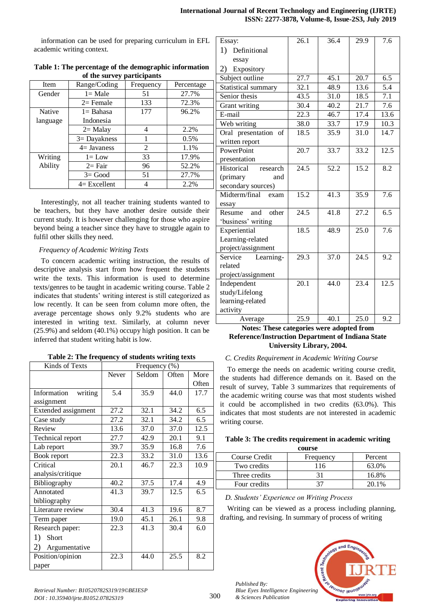information can be used for preparing curriculum in EFL academic writing context.

| Item     | Range/Coding    | Frequency | Percentage |
|----------|-----------------|-----------|------------|
| Gender   | $l = Male$      | 51        | 27.7%      |
|          | $2=$ Female     | 133       | 72.3%      |
| Native   | $l =$ Bahasa    | 177       | 96.2%      |
| language | Indonesia       |           |            |
|          | $2=$ Malay      | 4         | 2.2%       |
|          | $3 =$ Dayakness |           | 0.5%       |
|          | $4=$ Javaness   | 2         | 1.1%       |
| Writing  | $l = Low$       | 33        | 17.9%      |
| Ability  | $2=$ Fair       | 96        | 52.2%      |
|          | $3 = Good$      | 51        | 27.7%      |
|          | $4=Excellent$   |           | 2.2%       |

#### **Table 1: The percentage of the demographic information of the survey participants**

Interestingly, not all teacher training students wanted to be teachers, but they have another desire outside their current study. It is however challenging for those who aspire beyond being a teacher since they have to struggle again to fulfil other skills they need.

## *Frequency of Academic Writing Texts*

To concern academic writing instruction, the results of descriptive analysis start from how frequent the students write the texts. This information is used to determine texts/genres to be taught in academic writing course. Table 2 indicates that students' writing interest is still categorized as low recently. It can be seen from column more often, the average percentage shows only 9.2% students who are interested in writing text. Similarly, at column never (25.9%) and seldom (40.1%) occupy high position. It can be inferred that student writing habit is low.

## **Table 2: The frequency of students writing texts**

| Kinds of Texts         | Frequency (%) |        |       |       |
|------------------------|---------------|--------|-------|-------|
|                        | Never         | Seldom | Often | More  |
|                        |               |        |       | Often |
| writing<br>Information | 5.4           | 35.9   | 44.0  | 17.7  |
| assignment             |               |        |       |       |
| Extended assignment    | 27.2          | 32.1   | 34.2  | 6.5   |
| Case study             | 27.2          | 32.1   | 34.2  | 6.5   |
| Review                 | 13.6          | 37.0   | 37.0  | 12.5  |
| Technical report       | 27.7          | 42.9   | 20.1  | 9.1   |
| Lab report             | 39.7          | 35.9   | 16.8  | 7.6   |
| Book report            | 22.3          | 33.2   | 31.0  | 13.6  |
| Critical               | 20.1          | 46.7   | 22.3  | 10.9  |
| analysis/critique      |               |        |       |       |
| Bibliography           | 40.2          | 37.5   | 17.4  | 4.9   |
| Annotated              | 41.3          | 39.7   | 12.5  | 6.5   |
| bibliography           |               |        |       |       |
| Literature review      | 30.4          | 41.3   | 19.6  | 8.7   |
| Term paper             | 19.0          | 45.1   | 26.1  | 9.8   |
| Research paper:        | 22.3          | 41.3   | 30.4  | 6.0   |
| 1)<br>Short            |               |        |       |       |
| 2)<br>Argumentative    |               |        |       |       |
| Position/opinion       | 22.3          | 44.0   | 25.5  | 8.2   |
| paper                  |               |        |       |       |

| Essay:                          | 26.1              | 36.4            | 29.9              | 7.6               |
|---------------------------------|-------------------|-----------------|-------------------|-------------------|
| 1)<br>Definitional              |                   |                 |                   |                   |
| essay                           |                   |                 |                   |                   |
| Expository<br>2)                |                   |                 |                   |                   |
| Subject outline                 | 27.7              | 45.1            | 20.7              | 6.5               |
| Statistical summary             | 32.1              | 48.9            | 13.6              | 5.4               |
| Senior thesis                   | 43.5              | 31.0            | 18.5              | 7.1               |
| Grant writing                   | 30.4              | 40.2            | 21.7              | 7.6               |
| E-mail                          | 22.3              | 46.7            | 17.4              | 13.6              |
| $\overline{\text{Web}}$ writing | 38.0              | 33.7            | 17.9              | 10.3              |
| Oral presentation<br>of         | 18.5              | 35.9            | 31.0              | 14.7              |
| written report                  |                   |                 |                   |                   |
| PowerPoint                      | 20.7              | 33.7            | 33.2              | 12.5              |
| presentation                    |                   |                 |                   |                   |
| Historical<br>research          | 24.5              | 52.2            | 15.2              | 8.2               |
| (primary<br>and                 |                   |                 |                   |                   |
| secondary sources)              |                   |                 |                   |                   |
| Midterm/final<br>exam           | 15.2              | 41.3            | 35.9              | 7.6               |
| essay                           |                   |                 |                   |                   |
| other<br>Resume<br>and          | 24.5              | 41.8            | 27.2              | 6.5               |
| 'business' writing              |                   |                 |                   |                   |
| Experiential                    | 18.5              | 48.9            | 25.0              | 7.6               |
| Learning-related                |                   |                 |                   |                   |
| project/assignment              |                   |                 |                   |                   |
| Learning-<br>Service            | $\overline{29.3}$ | $\frac{37.0}{}$ | $\overline{24.5}$ | 9.2               |
| related                         |                   |                 |                   |                   |
| project/assignment              |                   |                 |                   |                   |
| Independent                     | $\overline{20.1}$ | 44.0            | 23.4              | $\overline{12.5}$ |
| study/Lifelong                  |                   |                 |                   |                   |
| learning-related                |                   |                 |                   |                   |
| activity                        |                   |                 |                   |                   |
| Average                         | 25.9              | 40.1            | 25.0              | 9.2               |

## **Notes: These categories were adopted from Reference/Instruction Department of Indiana State University Library, 2004.**

## *C. Credits Requirement in Academic Writing Course*

To emerge the needs on academic writing course credit, the students had difference demands on it. Based on the result of survey, Table 3 summarizes that requirements of the academic writing course was that most students wished it could be accomplished in two credits (63.0%). This indicates that most students are not interested in academic writing course.

## **Table 3: The credits requirement in academic writing**

| course        |           |         |  |  |
|---------------|-----------|---------|--|--|
| Course Credit | Frequency | Percent |  |  |
| Two credits   | 116       | 63.0%   |  |  |
| Three credits |           | 16.8%   |  |  |
| Four credits  |           | 20.1%   |  |  |

## *D. Students' Experience on Writing Process*

Writing can be viewed as a process including planning, drafting, and revising. In summary of process of writing



*Published By:*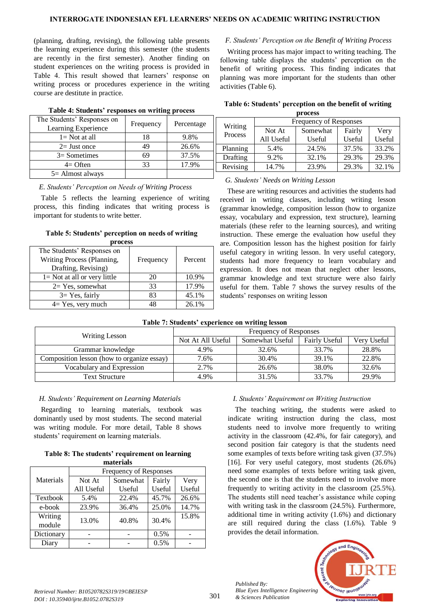#### **INTERROGATE INDONESIAN EFL LEARNERS' NEEDS ON ACADEMIC WRITING INSTRUCTION**

(planning, drafting, revising), the following table presents the learning experience during this semester (the students are recently in the first semester). Another finding on student experiences on the writing process is provided in Table 4. This result showed that learners' response on writing process or procedures experience in the writing course are destitute in practice.

|                                                   |           | ິ          |
|---------------------------------------------------|-----------|------------|
| The Students' Responses on<br>Learning Experience | Frequency | Percentage |
| $l = Not$ at all                                  | 18        | 9.8%       |
| $2=$ Just once                                    | 49        | 26.6%      |
| $3=$ Sometimes                                    | 69        | 37.5%      |
| $4=$ Often                                        | 33        | 17.9%      |
| $5 =$ Almost always                               |           |            |

## **Table 4: Students' responses on writing process**

## *E. Students' Perception on Needs of Writing Process*

Table 5 reflects the learning experience of writing process, this finding indicates that writing process is important for students to write better.

#### **Table 5: Students' perception on needs of writing process**

| wi vees                                                                         |           |         |  |  |  |
|---------------------------------------------------------------------------------|-----------|---------|--|--|--|
| The Students' Responses on<br>Writing Process (Planning,<br>Drafting, Revising) | Frequency | Percent |  |  |  |
| $l = Not$ at all or very little                                                 | 20        | 10.9%   |  |  |  |
| $2=Yes$ , somewhat                                                              | 33        | 17.9%   |  |  |  |
| $3=$ Yes, fairly                                                                | 83        | 45.1%   |  |  |  |
| $4 = Yes$ , very much                                                           | 48        | 26.1%   |  |  |  |

## *F. Students' Perception on the Benefit of Writing Process*

Writing process has major impact to writing teaching. The following table displays the students' perception on the benefit of writing process. This finding indicates that planning was more important for the students than other activities (Table 6).

| Table 6: Students' perception on the benefit of writing |
|---------------------------------------------------------|
|                                                         |

| process  |                               |          |        |        |  |
|----------|-------------------------------|----------|--------|--------|--|
| Writing  | <b>Frequency of Responses</b> |          |        |        |  |
| Process  | Not At                        | Somewhat | Fairly | Very   |  |
|          | All Useful                    | Useful   | Useful | Useful |  |
| Planning | 5.4%                          | 24.5%    | 37.5%  | 33.2%  |  |
| Drafting | 9.2%                          | 32.1%    | 29.3%  | 29.3%  |  |
| Revising | 14.7%                         | 23.9%    | 29.3%  | 32.1%  |  |

## *G. Students' Needs on Writing Lesson*

These are writing resources and activities the students had received in writing classes, including writing lesson (grammar knowledge, composition lesson (how to organize essay, vocabulary and expression, text structure), learning materials (these refer to the learning sources), and writing instruction. These emerge the evaluation how useful they are. Composition lesson has the highest position for fairly useful category in writing lesson. In very useful category, students had more frequency to learn vocabulary and expression. It does not mean that neglect other lessons, grammar knowledge and text structure were also fairly useful for them. Table 7 shows the survey results of the students' responses on writing lesson

| Table 7: Students' experience on writing lesson |  |  |
|-------------------------------------------------|--|--|
|-------------------------------------------------|--|--|

| Writing Lesson                             | Frequency of Responses |                 |                      |             |
|--------------------------------------------|------------------------|-----------------|----------------------|-------------|
|                                            | Not At All Useful      | Somewhat Useful | <b>Fairly Useful</b> | Very Useful |
| Grammar knowledge                          | 4.9%                   | 32.6%           | 33.7%                | 28.8%       |
| Composition lesson (how to organize essay) | 7.6%                   | 30.4%           | 39.1%                | 22.8%       |
| Vocabulary and Expression                  | 2.7%                   | 26.6%           | 38.0%                | 32.6%       |
| Text Structure                             | 4.9%                   | 31.5%           | 33.7%                | 29.9%       |

## *H. Students' Requirement on Learning Materials*

Regarding to learning materials, textbook was dominantly used by most students. The second material was writing module. For more detail, Table 8 shows students' requirement on learning materials.

|  | Table 8: The students' requirement on learning |
|--|------------------------------------------------|
|  | materials                                      |

| mawi iais  |                               |          |        |        |  |
|------------|-------------------------------|----------|--------|--------|--|
|            | <b>Frequency of Responses</b> |          |        |        |  |
| Materials  | Not At                        | Somewhat | Fairly | Very   |  |
|            | All Useful                    | Useful   | Useful | Useful |  |
| Textbook   | 5.4%                          | 22.4%    | 45.7%  | 26.6%  |  |
| e-book     | 23.9%                         | 36.4%    | 25.0%  | 14.7%  |  |
| Writing    | 13.0%                         | 40.8%    | 30.4%  | 15.8%  |  |
| module     |                               |          |        |        |  |
| Dictionary |                               |          | 0.5%   |        |  |
| Diary      |                               |          | 0.5%   |        |  |

# *I. Students' Requirement on Writing Instruction*

The teaching writing, the students were asked to indicate writing instruction during the class, most students need to involve more frequently to writing activity in the classroom (42.4%, for fair category), and second position fair category is that the students need some examples of texts before writing task given (37.5%) [16]. For very useful category, most students (26.6%) need some examples of texts before writing task given, the second one is that the students need to involve more frequently to writing activity in the classroom (25.5%). The students still need teacher's assistance while coping with writing task in the classroom (24.5%). Furthermore, additional time in writing activity (1.6%) and dictionary are still required during the class (1.6%). Table 9 provides the detail information.



*Published By:*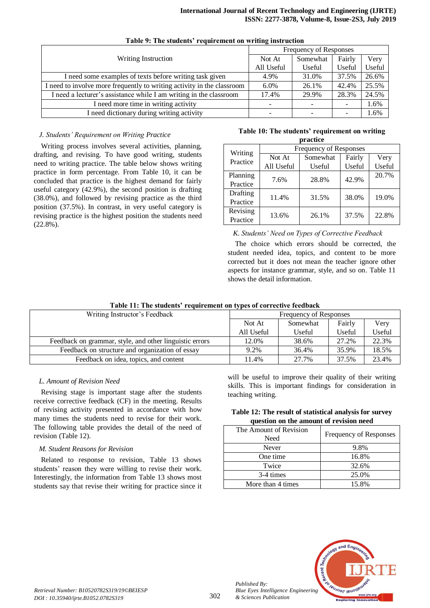|                                                                        | Frequency of Responses   |                          |        |        |  |  |
|------------------------------------------------------------------------|--------------------------|--------------------------|--------|--------|--|--|
| Writing Instruction                                                    | Not At                   | Somewhat                 | Fairly | Very   |  |  |
|                                                                        | All Useful               | <b>Useful</b>            | Useful | Useful |  |  |
| I need some examples of texts before writing task given                | 4.9%                     | 31.0%                    | 37.5%  | 26.6%  |  |  |
| I need to involve more frequently to writing activity in the classroom | $6.0\%$                  | 26.1%                    | 42.4%  | 25.5%  |  |  |
| I need a lecturer's assistance while I am writing in the classroom     | 17.4%                    | 29.9%                    | 28.3%  | 24.5%  |  |  |
| I need more time in writing activity                                   | $\overline{\phantom{0}}$ | $\overline{\phantom{a}}$ |        | 1.6%   |  |  |
| I need dictionary during writing activity                              |                          |                          |        | 1.6%   |  |  |

# **Table 9: The students' requirement on writing instruction**

# *J. Students' Requirement on Writing Practice*

Writing process involves several activities, planning, drafting, and revising. To have good writing, students need to writing practice. The table below shows writing practice in form percentage. From Table 10, it can be concluded that practice is the highest demand for fairly useful category (42.9%), the second position is drafting (38.0%), and followed by revising practice as the third position (37.5%). In contrast, in very useful category is revising practice is the highest position the students need (22.8%).

#### **Table 10: The students' requirement on writing practice**

| Writing  | <b>Frequency of Responses</b> |        |        |        |  |  |  |
|----------|-------------------------------|--------|--------|--------|--|--|--|
| Practice | Somewhat<br>Not At            |        | Fairly | Very   |  |  |  |
|          | All Useful                    | Useful | Useful | Useful |  |  |  |
| Planning | 7.6%                          | 28.8%  | 42.9%  | 20.7%  |  |  |  |
| Practice |                               |        |        |        |  |  |  |
| Drafting | 11.4%                         | 31.5%  | 38.0%  | 19.0%  |  |  |  |
| Practice |                               |        |        |        |  |  |  |
| Revising | 13.6%                         | 26.1%  | 37.5%  | 22.8%  |  |  |  |
| Practice |                               |        |        |        |  |  |  |

*K. Students' Need on Types of Corrective Feedback*

The choice which errors should be corrected, the student needed idea, topics, and content to be more corrected but it does not mean the teacher ignore other aspects for instance grammar, style, and so on. Table 11 shows the detail information.

## **Table 11: The students' requirement on types of corrective feedback**

| Writing Instructor's Feedback                           |            | Frequency of Responses |        |        |  |  |  |
|---------------------------------------------------------|------------|------------------------|--------|--------|--|--|--|
|                                                         | Not At     | Somewhat               | Fairly | Very   |  |  |  |
|                                                         | All Useful | Useful                 | Useful | Useful |  |  |  |
| Feedback on grammar, style, and other linguistic errors | 12.0%      | 38.6%                  | 27.2%  | 22.3%  |  |  |  |
| Feedback on structure and organization of essay         | 9.2%       | 36.4%                  | 35.9%  | 18.5%  |  |  |  |
| Feedback on idea, topics, and content                   | 11.4%      | 27.7%                  | 37.5%  | 23.4%  |  |  |  |

## *L. Amount of Revision Need*

Revising stage is important stage after the students receive corrective feedback (CF) in the meeting. Results of revising activity presented in accordance with how many times the students need to revise for their work. The following table provides the detail of the need of revision (Table 12).

## *M. Student Reasons for Revision*

Related to response to revision, Table 13 shows students' reason they were willing to revise their work. Interestingly, the information from Table 13 shows most students say that revise their writing for practice since it

will be useful to improve their quality of their writing skills. This is important findings for consideration in teaching writing.

| Table 12: The result of statistical analysis for survey |
|---------------------------------------------------------|
| question on the amount of revision need                 |

| The Amount of Revision<br>Need | <b>Frequency of Responses</b> |
|--------------------------------|-------------------------------|
| Never                          | 9.8%                          |
| One time                       | 16.8%                         |
| Twice                          | 32.6%                         |
| 3-4 times                      | 25.0%                         |
| More than 4 times              | 15.8%                         |



*Published By:*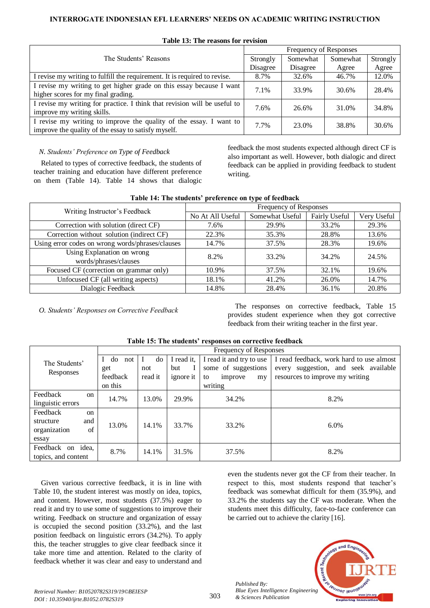# **INTERROGATE INDONESIAN EFL LEARNERS' NEEDS ON ACADEMIC WRITING INSTRUCTION**

|                                                                           | Frequency of Responses |          |          |          |  |
|---------------------------------------------------------------------------|------------------------|----------|----------|----------|--|
| The Students' Reasons                                                     |                        | Somewhat | Somewhat | Strongly |  |
|                                                                           | Disagree               | Disagree | Agree    | Agree    |  |
| I revise my writing to fulfill the requirement. It is required to revise. | 8.7%                   | 32.6%    | 46.7%    | 12.0%    |  |
| I revise my writing to get higher grade on this essay because I want      | 7.1%                   | 33.9%    | 30.6%    | 28.4%    |  |
| higher scores for my final grading.                                       |                        |          |          |          |  |
| I revise my writing for practice. I think that revision will be useful to | 7.6%                   | 26.6%    | 31.0%    | 34.8%    |  |
| improve my writing skills.                                                |                        |          |          |          |  |
| I revise my writing to improve the quality of the essay. I want to        | 7.7%                   | 23.0%    | 38.8%    | 30.6%    |  |
| improve the quality of the essay to satisfy myself.                       |                        |          |          |          |  |

## **Table 13: The reasons for revision**

*N. Students' Preference on Type of Feedback*

Related to types of corrective feedback, the students of teacher training and education have different preference on them (Table 14). Table 14 shows that dialogic

feedback the most students expected although direct CF is also important as well. However, both dialogic and direct feedback can be applied in providing feedback to student writing.

| Table 14. The stauents - preference on type of recuback |                        |                 |               |             |  |  |  |
|---------------------------------------------------------|------------------------|-----------------|---------------|-------------|--|--|--|
| Writing Instructor's Feedback                           | Frequency of Responses |                 |               |             |  |  |  |
|                                                         | No At All Useful       | Somewhat Useful | Fairly Useful | Very Useful |  |  |  |
| Correction with solution (direct CF)                    | 7.6%                   | 29.9%           | 33.2%         | 29.3%       |  |  |  |
| Correction without solution (indirect CF)               | 22.3%                  | 35.3%           | 28.8%         | 13.6%       |  |  |  |
| Using error codes on wrong words/phrases/clauses        | 14.7%                  | 37.5%           | 28.3%         | 19.6%       |  |  |  |
| Using Explanation on wrong<br>words/phrases/clauses     | 8.2%                   | 33.2%           | 34.2%         | 24.5%       |  |  |  |
| Focused CF (correction on grammar only)                 | 10.9%                  | 37.5%           | 32.1%         | 19.6%       |  |  |  |
| Unfocused CF (all writing aspects)                      | 18.1%                  | 41.2%           | 26.0%         | 14.7%       |  |  |  |
| Dialogic Feedback                                       | 14.8%                  | 28.4%           | 36.1%         | 20.8%       |  |  |  |

# **Table 14: The students' preference on type of feedback**

*O. Students' Responses on Corrective Feedback* The responses on corrective feedback, Table 15 provides student experience when they got corrective feedback from their writing teacher in the first year.

|                           |                | Frequency of Responses |                  |                                 |                                          |  |
|---------------------------|----------------|------------------------|------------------|---------------------------------|------------------------------------------|--|
| The Students'             | do<br>L<br>not | do                     | I read it.       | I read it and try to use        | I read feedback, work hard to use almost |  |
| Responses                 | get            | not                    | but              | some of suggestions             | every suggestion, and seek available     |  |
|                           | feedback       | read it                | <i>ignore it</i> | improve<br>m <sub>V</sub><br>to | resources to improve my writing          |  |
|                           | on this        |                        |                  | writing                         |                                          |  |
| Feedback<br><sub>on</sub> | 14.7%          | 13.0%                  | 29.9%            | 34.2%                           | 8.2%                                     |  |
| linguistic errors         |                |                        |                  |                                 |                                          |  |
| Feedback<br>on            |                |                        |                  |                                 |                                          |  |
| and<br>structure          | 13.0%          | 14.1%                  | 33.7%            | 33.2%                           | 6.0%                                     |  |
| of<br>organization        |                |                        |                  |                                 |                                          |  |
| essay                     |                |                        |                  |                                 |                                          |  |
| on idea,<br>Feedback      | 8.7%           | 14.1%                  | 31.5%            | 37.5%                           | 8.2%                                     |  |
| topics, and content       |                |                        |                  |                                 |                                          |  |

# **Table 15: The students' responses on corrective feedback**

Given various corrective feedback, it is in line with Table 10, the student interest was mostly on idea, topics, and content. However, most students (37.5%) eager to read it and try to use some of suggestions to improve their writing. Feedback on structure and organization of essay is occupied the second position (33.2%), and the last position feedback on linguistic errors (34.2%). To apply this, the teacher struggles to give clear feedback since it take more time and attention. Related to the clarity of feedback whether it was clear and easy to understand and

even the students never got the CF from their teacher. In respect to this, most students respond that teacher's feedback was somewhat difficult for them (35.9%), and 33.2% the students say the CF was moderate. When the students meet this difficulty, face-to-face conference can be carried out to achieve the clarity [16].



303

*Published By: Blue Eyes Intelligence Engineering & Sciences Publication*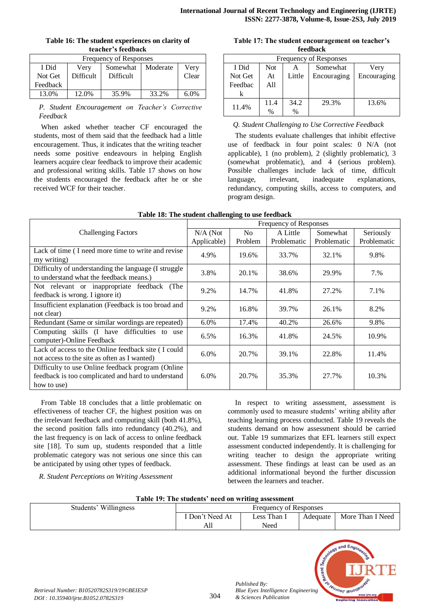| Table 16: The student experiences on clarity of |  |
|-------------------------------------------------|--|
| teacher's feedback                              |  |

| <b>Frequency of Responses</b> |                                      |           |       |         |  |  |  |
|-------------------------------|--------------------------------------|-----------|-------|---------|--|--|--|
| I Did                         | Moderate<br>Somewhat<br>Very<br>Very |           |       |         |  |  |  |
| Not Get                       | <b>Difficult</b>                     | Difficult |       | Clear   |  |  |  |
| Feedback                      |                                      |           |       |         |  |  |  |
| 13.0%                         | 12.0%                                | 35.9%     | 33.2% | $6.0\%$ |  |  |  |

*P. Student Encouragement on Teacher's Corrective Feedback*

When asked whether teacher CF encouraged the students, most of them said that the feedback had a little encouragement. Thus, it indicates that the writing teacher needs some positive endeavours in helping English learners acquire clear feedback to improve their academic and professional writing skills. Table 17 shows on how the students encouraged the feedback after he or she received WCF for their teacher.

#### **Table 17: The student encouragement on teacher's feedback**

| <b>Frequency of Responses</b> |            |        |             |             |  |  |
|-------------------------------|------------|--------|-------------|-------------|--|--|
| I Did                         | <b>Not</b> | А      | Somewhat    | Very        |  |  |
| Not Get                       | At         | Little | Encouraging | Encouraging |  |  |
| Feedbac                       | All        |        |             |             |  |  |
|                               |            |        |             |             |  |  |
|                               | 11.4       | 34.2   | 29.3%       | 13.6%       |  |  |
| 11.4%                         | $\%$       | $\%$   |             |             |  |  |

# *Q. Student Challenging to Use Corrective Feedback*

The students evaluate challenges that inhibit effective use of feedback in four point scales: 0 N/A (not applicable), 1 (no problem), 2 (slightly problematic), 3 (somewhat problematic), and 4 (serious problem). Possible challenges include lack of time, difficult language, irrelevant, inadequate explanations, redundancy, computing skills, access to computers, and program design.

|                                                                                                                        | Frequency of Responses |                |             |             |             |
|------------------------------------------------------------------------------------------------------------------------|------------------------|----------------|-------------|-------------|-------------|
| <b>Challenging Factors</b>                                                                                             | $N/A$ (Not             | N <sub>0</sub> | A Little    | Somewhat    | Seriously   |
|                                                                                                                        | Applicable)            | Problem        | Problematic | Problematic | Problematic |
| Lack of time (I need more time to write and revise<br>my writing)                                                      | 4.9%                   | 19.6%          | 33.7%       | 32.1%       | 9.8%        |
| Difficulty of understanding the language (I struggle<br>to understand what the feedback means.)                        | 3.8%                   | 20.1%          | 38.6%       | 29.9%       | 7.%         |
| Not relevant or inappropriate feedback<br>(The<br>feedback is wrong. I ignore it)                                      | 9.2%                   | 14.7%          | 41.8%       | 27.2%       | 7.1%        |
| Insufficient explanation (Feedback is too broad and<br>not clear)                                                      | 9.2%                   | 16.8%          | 39.7%       | 26.1%       | 8.2%        |
| Redundant (Same or similar wordings are repeated)                                                                      | 6.0%                   | 17.4%          | 40.2%       | 26.6%       | 9.8%        |
| Computing skills (I have difficulties to use<br>computer)-Online Feedback                                              | 6.5%                   | 16.3%          | 41.8%       | 24.5%       | 10.9%       |
| Lack of access to the Online feedback site (I could<br>not access to the site as often as I wanted)                    | 6.0%                   | 20.7%          | 39.1%       | 22.8%       | 11.4%       |
| Difficulty to use Online feedback program (Online<br>feedback is too complicated and hard to understand<br>how to use) | 6.0%                   | 20.7%          | 35.3%       | 27.7%       | 10.3%       |

|  | Table 18: The student challenging to use feedback |
|--|---------------------------------------------------|
|  |                                                   |

From Table 18 concludes that a little problematic on effectiveness of teacher CF, the highest position was on the irrelevant feedback and computing skill (both 41.8%), the second position falls into redundancy (40.2%), and the last frequency is on lack of access to online feedback site [18]. To sum up, students responded that a little problematic category was not serious one since this can be anticipated by using other types of feedback.

*R. Student Perceptions on Writing Assessment*

In respect to writing assessment, assessment is commonly used to measure students' writing ability after teaching learning process conducted. Table 19 reveals the students demand on how assessment should be carried out. Table 19 summarizes that EFL learners still expect assessment conducted independently. It is challenging for writing teacher to design the appropriate writing assessment. These findings at least can be used as an additional informational beyond the further discussion between the learners and teacher.

| Table 19: The students' need on writing assessment |
|----------------------------------------------------|
|----------------------------------------------------|

| Don't Need At<br>Less Than I<br>Adequate<br>Need<br>All | Students' Willingness | <b>Frequency of Responses</b> |  |  |                  |  |
|---------------------------------------------------------|-----------------------|-------------------------------|--|--|------------------|--|
|                                                         |                       |                               |  |  | More Than I Need |  |
|                                                         |                       |                               |  |  |                  |  |



*Published By:*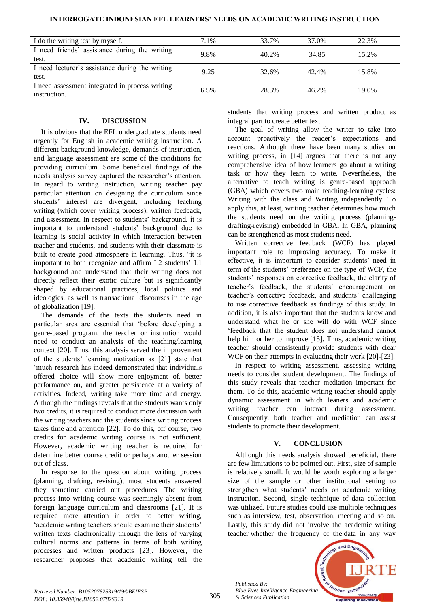| I do the writing test by myself.                | 7.1% | 33.7% | 37.0% | 22.3% |
|-------------------------------------------------|------|-------|-------|-------|
| I need friends' assistance during the writing   | 9.8% | 40.2% | 34.85 | 15.2% |
| test.                                           |      |       |       |       |
| I need lecturer's assistance during the writing | 9.25 | 32.6% | 42.4% | 15.8% |
| test.                                           |      |       |       |       |
| I need assessment integrated in process writing | 6.5% | 28.3% | 46.2% | 19.0% |
| instruction.                                    |      |       |       |       |

# **INTERROGATE INDONESIAN EFL LEARNERS' NEEDS ON ACADEMIC WRITING INSTRUCTION**

# **IV. DISCUSSION**

It is obvious that the EFL undergraduate students need urgently for English in academic writing instruction. A different background knowledge, demands of instruction, and language assessment are some of the conditions for providing curriculum. Some beneficial findings of the needs analysis survey captured the researcher's attention. In regard to writing instruction, writing teacher pay particular attention on designing the curriculum since students' interest are divergent, including teaching writing (which cover writing process), written feedback, and assessment. In respect to students' background, it is important to understand students' background due to learning is social activity in which interaction between teacher and students, and students with their classmate is built to create good atmosphere in learning. Thus, "it is important to both recognize and affirm L2 students' L1 background and understand that their writing does not directly reflect their exotic culture but is significantly shaped by educational practices, local politics and ideologies, as well as transactional discourses in the age of globalization [19].

The demands of the texts the students need in particular area are essential that 'before developing a genre-based program, the teacher or institution would need to conduct an analysis of the teaching/learning context [20]. Thus, this analysis served the improvement of the students' learning motivation as [21] state that 'much research has indeed demonstrated that individuals offered choice will show more enjoyment of, better performance on, and greater persistence at a variety of activities. Indeed, writing take more time and energy. Although the findings reveals that the students wants only two credits, it is required to conduct more discussion with the writing teachers and the students since writing process takes time and attention [22]. To do this, off course, two credits for academic writing course is not sufficient. However, academic writing teacher is required for determine better course credit or perhaps another session out of class.

In response to the question about writing process (planning, drafting, revising), most students answered they sometime carried out procedures. The writing process into writing course was seemingly absent from foreign language curriculum and classrooms [21]. It is required more attention in order to better writing, 'academic writing teachers should examine their students' written texts diachronically through the lens of varying cultural norms and patterns in terms of both writing processes and written products [23]. However, the researcher proposes that academic writing tell the

students that writing process and written product as integral part to create better text.

The goal of writing allow the writer to take into account proactively the reader's expectations and reactions. Although there have been many studies on writing process, in [14] argues that there is not any comprehensive idea of how learners go about a writing task or how they learn to write. Nevertheless, the alternative to teach writing is genre-based approach (GBA) which covers two main teaching-learning cycles: Writing with the class and Writing independently. To apply this, at least, writing teacher determines how much the students need on the writing process (planningdrafting-revising) embedded in GBA. In GBA, planning can be strengthened as most students need.

Written corrective feedback (WCF) has played important role to improving accuracy. To make it effective, it is important to consider students' need in term of the students' preference on the type of WCF, the students' responses on corrective feedback, the clarity of teacher's feedback, the students' encouragement on teacher's corrective feedback, and students' challenging to use corrective feedback as findings of this study. In addition, it is also important that the students know and understand what he or she will do with WCF since 'feedback that the student does not understand cannot help him or her to improve [15]. Thus, academic writing teacher should consistently provide students with clear WCF on their attempts in evaluating their work [20]-[23].

In respect to writing assessment, assessing writing needs to consider student development. The findings of this study reveals that teacher mediation important for them. To do this, academic writing teacher should apply dynamic assessment in which leaners and academic writing teacher can interact during assessment. Consequently, both teacher and mediation can assist students to promote their development.

# **V. CONCLUSION**

Although this needs analysis showed beneficial, there are few limitations to be pointed out. First, size of sample is relatively small. It would be worth exploring a larger size of the sample or other institutional setting to strengthen what students' needs on academic writing instruction. Second, single technique of data collection was utilized. Future studies could use multiple techniques such as interview, test, observation, meeting and so on. Lastly, this study did not involve the academic writing teacher whether the frequency of the data in any way

*Published By: Blue Eyes Intelligence Engineering & Sciences Publication*